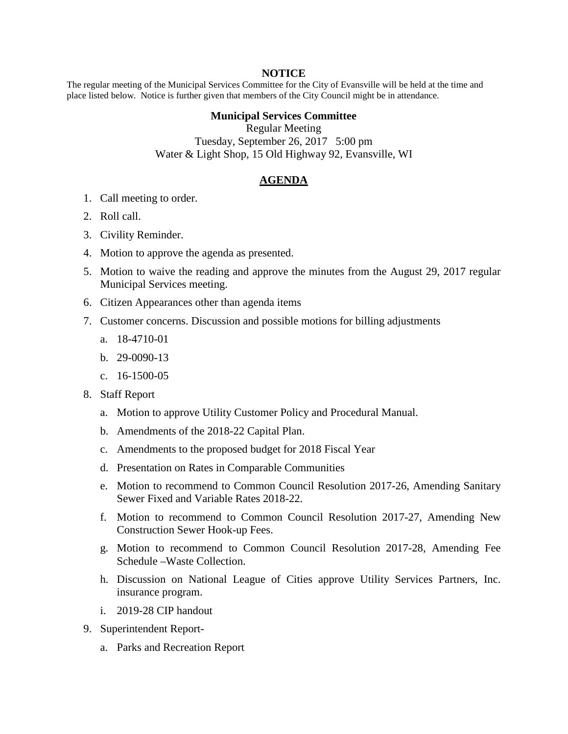## **NOTICE**

The regular meeting of the Municipal Services Committee for the City of Evansville will be held at the time and place listed below. Notice is further given that members of the City Council might be in attendance.

## **Municipal Services Committee**

Regular Meeting Tuesday, September 26, 2017 5:00 pm Water & Light Shop, 15 Old Highway 92, Evansville, WI

## **AGENDA**

- 1. Call meeting to order.
- 2. Roll call.
- 3. Civility Reminder.
- 4. Motion to approve the agenda as presented.
- 5. Motion to waive the reading and approve the minutes from the August 29, 2017 regular Municipal Services meeting.
- 6. Citizen Appearances other than agenda items
- 7. Customer concerns. Discussion and possible motions for billing adjustments
	- a. 18-4710-01
	- b. 29-0090-13
	- c. 16-1500-05
- 8. Staff Report
	- a. Motion to approve Utility Customer Policy and Procedural Manual.
	- b. Amendments of the 2018-22 Capital Plan.
	- c. Amendments to the proposed budget for 2018 Fiscal Year
	- d. Presentation on Rates in Comparable Communities
	- e. Motion to recommend to Common Council Resolution 2017-26, Amending Sanitary Sewer Fixed and Variable Rates 2018-22.
	- f. Motion to recommend to Common Council Resolution 2017-27, Amending New Construction Sewer Hook-up Fees.
	- g. Motion to recommend to Common Council Resolution 2017-28, Amending Fee Schedule –Waste Collection.
	- h. Discussion on National League of Cities approve Utility Services Partners, Inc. insurance program.
	- i. 2019-28 CIP handout
- 9. Superintendent Report
	- a. Parks and Recreation Report